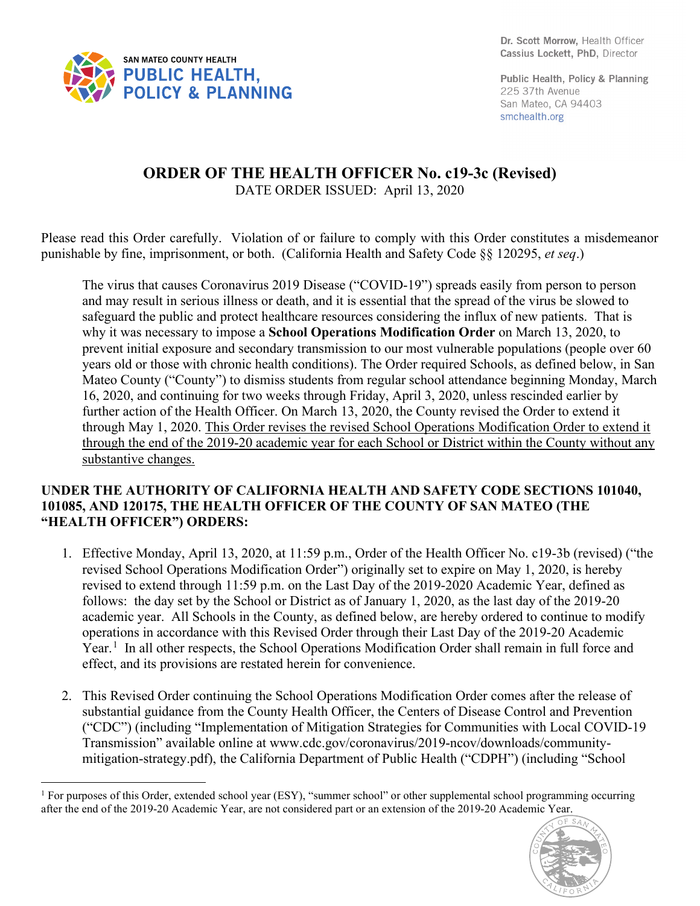

Public Health, Policy & Planning 225 37th Avenue San Mateo, CA 94403 smchealth.org

## **ORDER OF THE HEALTH OFFICER No. c19-3c (Revised)** DATE ORDER ISSUED: April 13, 2020

Please read this Order carefully. Violation of or failure to comply with this Order constitutes a misdemeanor punishable by fine, imprisonment, or both. (California Health and Safety Code §§ 120295, *et seq*.)

The virus that causes Coronavirus 2019 Disease ("COVID-19") spreads easily from person to person and may result in serious illness or death, and it is essential that the spread of the virus be slowed to safeguard the public and protect healthcare resources considering the influx of new patients. That is why it was necessary to impose a **School Operations Modification Order** on March 13, 2020, to prevent initial exposure and secondary transmission to our most vulnerable populations (people over 60 years old or those with chronic health conditions). The Order required Schools, as defined below, in San Mateo County ("County") to dismiss students from regular school attendance beginning Monday, March 16, 2020, and continuing for two weeks through Friday, April 3, 2020, unless rescinded earlier by further action of the Health Officer. On March 13, 2020, the County revised the Order to extend it through May 1, 2020. This Order revises the revised School Operations Modification Order to extend it through the end of the 2019-20 academic year for each School or District within the County without any substantive changes.

## **UNDER THE AUTHORITY OF CALIFORNIA HEALTH AND SAFETY CODE SECTIONS 101040, 101085, AND 120175, THE HEALTH OFFICER OF THE COUNTY OF SAN MATEO (THE "HEALTH OFFICER") ORDERS:**

- 1. Effective Monday, April 13, 2020, at 11:59 p.m., Order of the Health Officer No. c19-3b (revised) ("the revised School Operations Modification Order") originally set to expire on May 1, 2020, is hereby revised to extend through 11:59 p.m. on the Last Day of the 2019-2020 Academic Year, defined as follows: the day set by the School or District as of January 1, 2020, as the last day of the 2019-20 academic year. All Schools in the County, as defined below, are hereby ordered to continue to modify operations in accordance with this Revised Order through their Last Day of the 2019-20 Academic Year.<sup>[1](#page-0-0)</sup> In all other respects, the School Operations Modification Order shall remain in full force and effect, and its provisions are restated herein for convenience.
- 2. This Revised Order continuing the School Operations Modification Order comes after the release of substantial guidance from the County Health Officer, the Centers of Disease Control and Prevention ("CDC") (including "Implementation of Mitigation Strategies for Communities with Local COVID-19 Transmission" available online at www.cdc.gov/coronavirus/2019-ncov/downloads/communitymitigation-strategy.pdf), the California Department of Public Health ("CDPH") (including "School

<span id="page-0-0"></span><sup>&</sup>lt;sup>1</sup> For purposes of this Order, extended school year (ESY), "summer school" or other supplemental school programming occurring after the end of the 2019-20 Academic Year, are not considered part or an extension of the 2019-20 Academic Year.

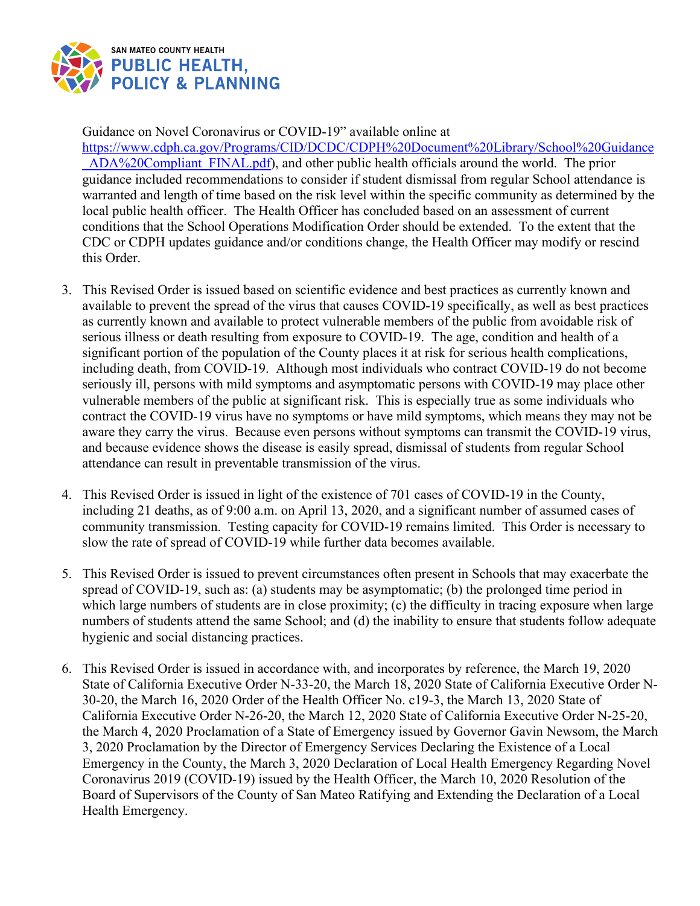

Guidance on Novel Coronavirus or COVID-19" available online at

[https://www.cdph.ca.gov/Programs/CID/DCDC/CDPH%20Document%20Library/School%20Guidance](https://www.cdph.ca.gov/Programs/CID/DCDC/CDPH%20Document%20Library/School%20Guidance_ADA%20Compliant_FINAL.pdf) [\\_ADA%20Compliant\\_FINAL.pdf\)](https://www.cdph.ca.gov/Programs/CID/DCDC/CDPH%20Document%20Library/School%20Guidance_ADA%20Compliant_FINAL.pdf), and other public health officials around the world. The prior guidance included recommendations to consider if student dismissal from regular School attendance is warranted and length of time based on the risk level within the specific community as determined by the local public health officer. The Health Officer has concluded based on an assessment of current conditions that the School Operations Modification Order should be extended. To the extent that the CDC or CDPH updates guidance and/or conditions change, the Health Officer may modify or rescind this Order.

- 3. This Revised Order is issued based on scientific evidence and best practices as currently known and available to prevent the spread of the virus that causes COVID-19 specifically, as well as best practices as currently known and available to protect vulnerable members of the public from avoidable risk of serious illness or death resulting from exposure to COVID-19. The age, condition and health of a significant portion of the population of the County places it at risk for serious health complications, including death, from COVID-19. Although most individuals who contract COVID-19 do not become seriously ill, persons with mild symptoms and asymptomatic persons with COVID-19 may place other vulnerable members of the public at significant risk. This is especially true as some individuals who contract the COVID-19 virus have no symptoms or have mild symptoms, which means they may not be aware they carry the virus. Because even persons without symptoms can transmit the COVID-19 virus, and because evidence shows the disease is easily spread, dismissal of students from regular School attendance can result in preventable transmission of the virus.
- 4. This Revised Order is issued in light of the existence of 701 cases of COVID-19 in the County, including 21 deaths, as of 9:00 a.m. on April 13, 2020, and a significant number of assumed cases of community transmission. Testing capacity for COVID-19 remains limited. This Order is necessary to slow the rate of spread of COVID-19 while further data becomes available.
- 5. This Revised Order is issued to prevent circumstances often present in Schools that may exacerbate the spread of COVID-19, such as: (a) students may be asymptomatic; (b) the prolonged time period in which large numbers of students are in close proximity; (c) the difficulty in tracing exposure when large numbers of students attend the same School; and (d) the inability to ensure that students follow adequate hygienic and social distancing practices.
- 6. This Revised Order is issued in accordance with, and incorporates by reference, the March 19, 2020 State of California Executive Order N-33-20, the March 18, 2020 State of California Executive Order N-30-20, the March 16, 2020 Order of the Health Officer No. c19-3, the March 13, 2020 State of California Executive Order N-26-20, the March 12, 2020 State of California Executive Order N-25-20, the March 4, 2020 Proclamation of a State of Emergency issued by Governor Gavin Newsom, the March 3, 2020 Proclamation by the Director of Emergency Services Declaring the Existence of a Local Emergency in the County, the March 3, 2020 Declaration of Local Health Emergency Regarding Novel Coronavirus 2019 (COVID-19) issued by the Health Officer, the March 10, 2020 Resolution of the Board of Supervisors of the County of San Mateo Ratifying and Extending the Declaration of a Local Health Emergency.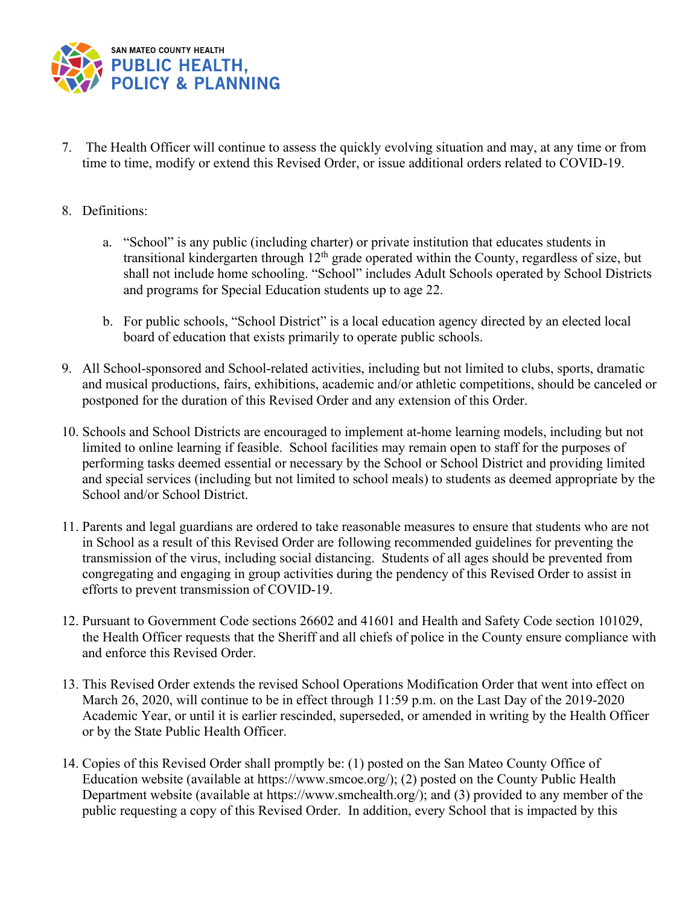

- 7. The Health Officer will continue to assess the quickly evolving situation and may, at any time or from time to time, modify or extend this Revised Order, or issue additional orders related to COVID-19.
- 8. Definitions:
	- a. "School" is any public (including charter) or private institution that educates students in transitional kindergarten through  $12<sup>th</sup>$  grade operated within the County, regardless of size, but shall not include home schooling. "School" includes Adult Schools operated by School Districts and programs for Special Education students up to age 22.
	- b. For public schools, "School District" is a local education agency directed by an elected local board of education that exists primarily to operate public schools.
- 9. All School-sponsored and School-related activities, including but not limited to clubs, sports, dramatic and musical productions, fairs, exhibitions, academic and/or athletic competitions, should be canceled or postponed for the duration of this Revised Order and any extension of this Order.
- 10. Schools and School Districts are encouraged to implement at-home learning models, including but not limited to online learning if feasible. School facilities may remain open to staff for the purposes of performing tasks deemed essential or necessary by the School or School District and providing limited and special services (including but not limited to school meals) to students as deemed appropriate by the School and/or School District.
- 11. Parents and legal guardians are ordered to take reasonable measures to ensure that students who are not in School as a result of this Revised Order are following recommended guidelines for preventing the transmission of the virus, including social distancing. Students of all ages should be prevented from congregating and engaging in group activities during the pendency of this Revised Order to assist in efforts to prevent transmission of COVID-19.
- 12. Pursuant to Government Code sections 26602 and 41601 and Health and Safety Code section 101029, the Health Officer requests that the Sheriff and all chiefs of police in the County ensure compliance with and enforce this Revised Order.
- 13. This Revised Order extends the revised School Operations Modification Order that went into effect on March 26, 2020, will continue to be in effect through 11:59 p.m. on the Last Day of the 2019-2020 Academic Year, or until it is earlier rescinded, superseded, or amended in writing by the Health Officer or by the State Public Health Officer.
- 14. Copies of this Revised Order shall promptly be: (1) posted on the San Mateo County Office of Education website (available at https://www.smcoe.org/); (2) posted on the County Public Health Department website (available at https://www.smchealth.org/); and (3) provided to any member of the public requesting a copy of this Revised Order. In addition, every School that is impacted by this